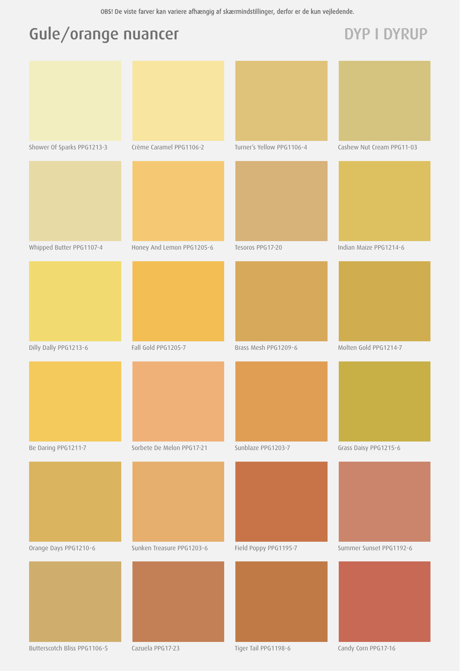# Gule/orange nuancer DYP I DYRUP

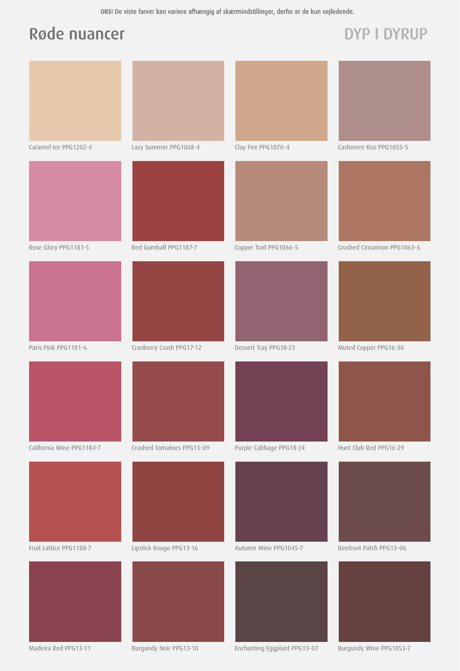### Røde nuancer DYP I DYRUP



Madeira Red PPG13-11 Burgundy Noir PPG13-10 Enchanting Eggplant PPG13-07 Burgundy Wine PPG1053-7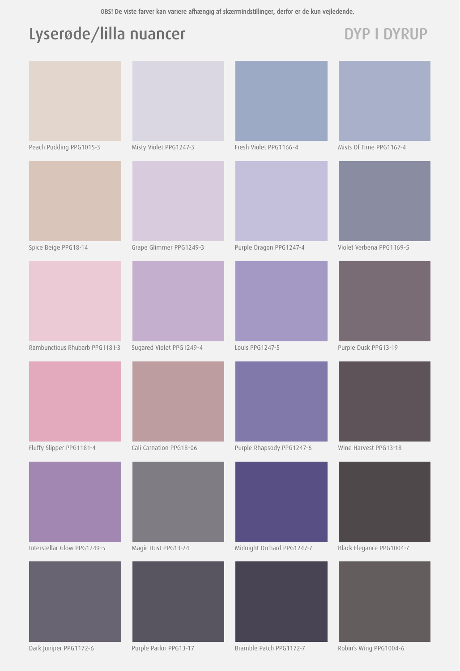# Lyserøde/lilla nuancer DYP I DYRUP

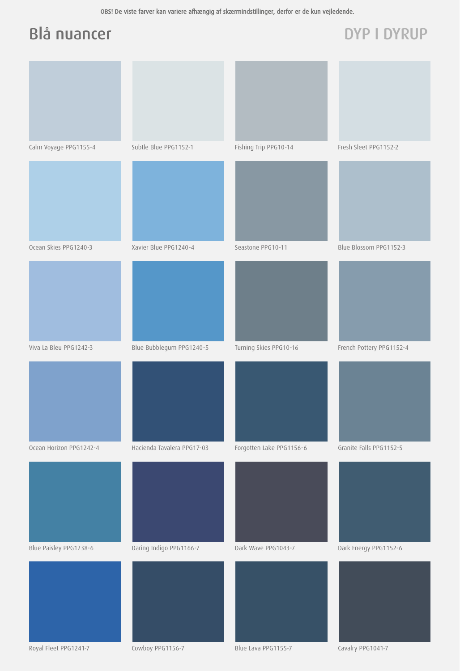### Blå nuancer DYP I DYRUP

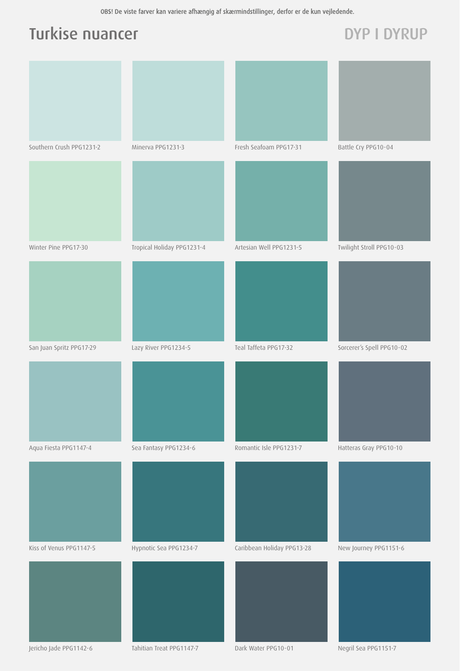### Turkise nuancer and DYP I DYRUP

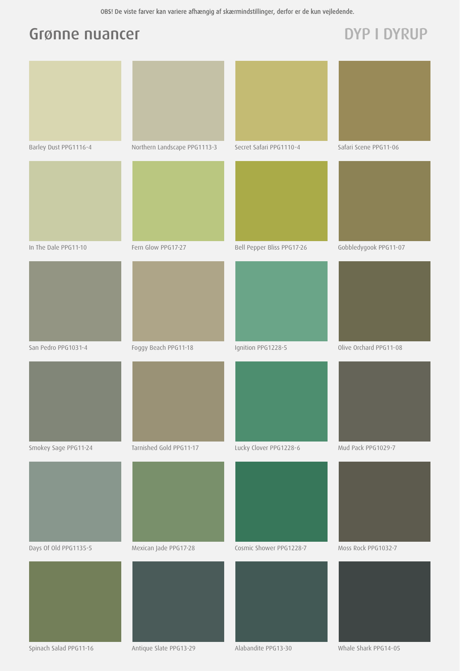### Grønne nuancer DYP I DYRUP

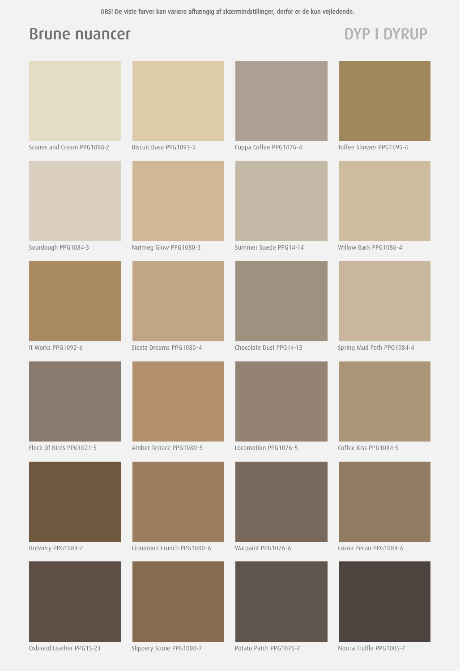### Brune nuancer DYP I DYRUP



Oxblood Leather PPG15-23 Slippery Stone PPG1080-7 Potato Patch PPG1076-7 Norcia Truffle PPG1005-7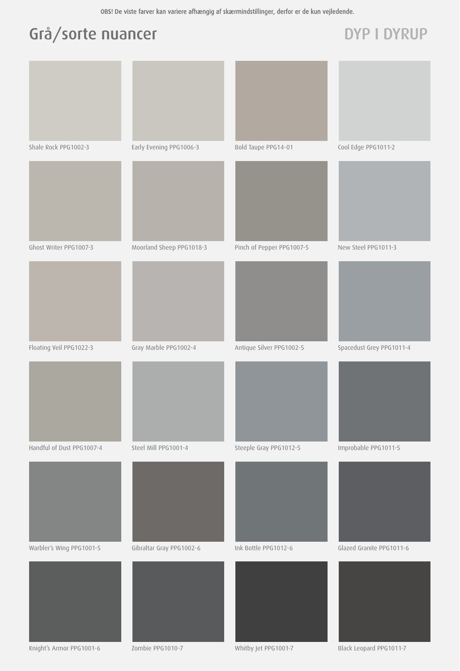# Grå/sorte nuancer DYP I DYRUP

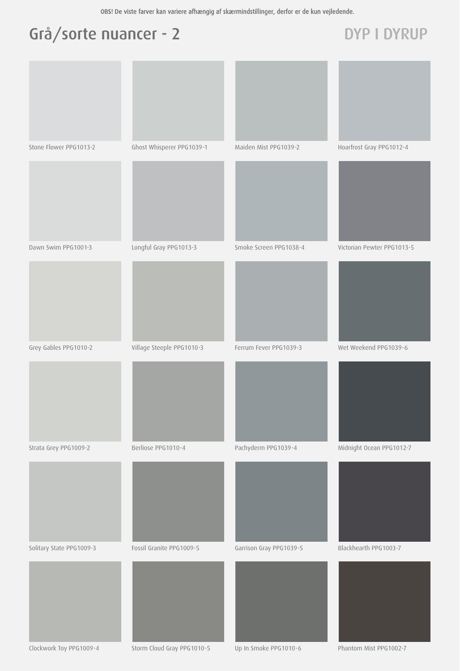# Grå/sorte nuancer - 2 DYP I DYRUP